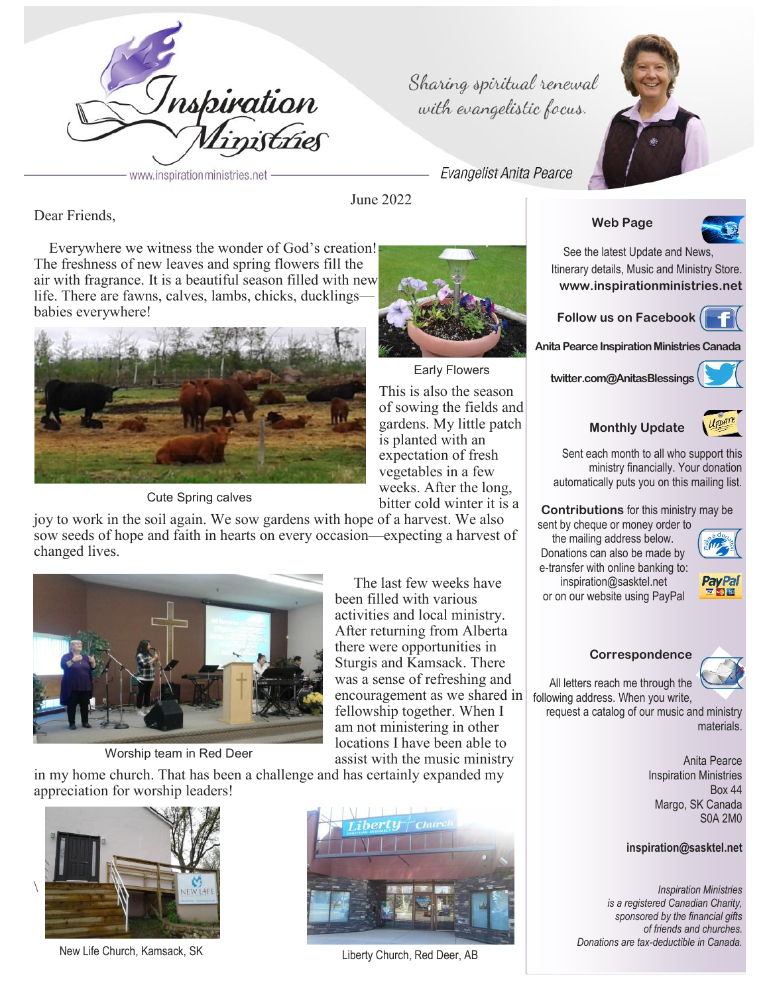

Sharing spiritual renewal with evangelistic focus.

**Evangelist Anita Pearce** 

Dear Friends,

 Everywhere we witness the wonder of God's creation! The freshness of new leaves and spring flowers fill the air with fragrance. It is a beautiful season filled with new life. There are fawns, calves, lambs, chicks, ducklings babies everywhere!



Cute Spring calves

joy to work in the soil again. We sow gardens with hope of a harvest. We also sow seeds of hope and faith in hearts on every occasion—expecting a harvest of changed lives.



Worship team in Red Deer

assist with the music ministry in my home church. That has been a challenge and has certainly expanded my appreciation for worship leaders!



New Life Church, Kamsack, SK Liberty Church, Red Deer, AB





June 2022



This is also the season of sowing the fields and gardens. My little patch is planted with an expectation of fresh vegetables in a few weeks. After the long,

bitter cold winter it is a

The last few weeks have

been filled with various activities and local ministry. After returning from Alberta there were opportunities in Sturgis and Kamsack. There was a sense of refreshing and encouragement as we shared in fellowship together. When I am not ministering in other locations I have been able to

sent by cheque or money order to

the mailing address below. Donations can also be made by e-transfer with online banking to: inspiration@sasktel.net



or on our website using PayPal

## **Correspondence**

All letters reach me through the following address. When you write,

request a catalog of our music and ministry materials.

> Anita Pearce Inspiration Ministries Box 44 Margo, SK Canada S0A 2M0

## **inspiration@sasktel.net**

*Inspiration Ministries is a registered Canadian Charity, sponsored by the financial gifts of friends and churches. Donations are tax-deductible in Canada.*





**Follow us on Facebook**

**Web Page**

**Anita Pearce Inspiration Ministries Canada** 

**twitter.com@AnitasBlessings**



# **Monthly Update**





# **Contributions** for this ministry may be